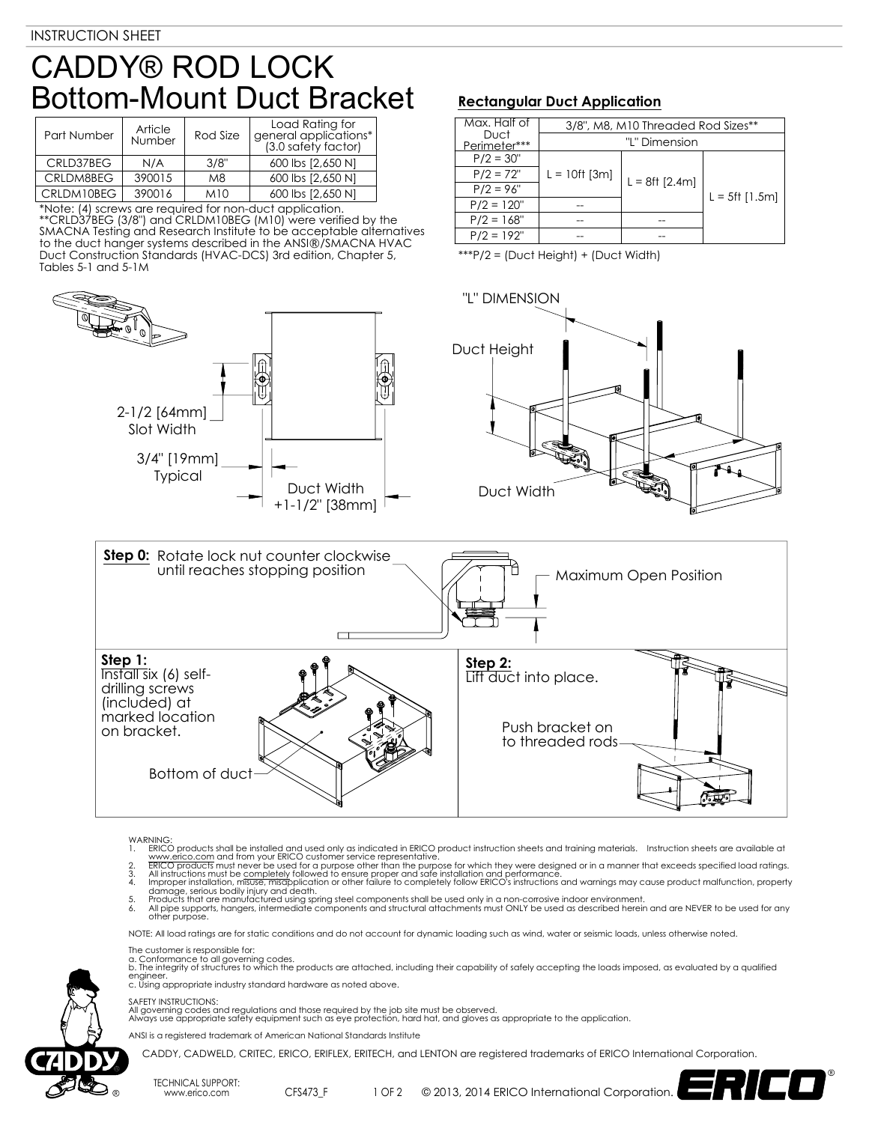## CADDY® ROD LOCK Bottom-Mount Duct Bracket

| Part Number | Article<br>Number | Rod Size | Load Rating for<br>general applications*<br>(3.0 safety factor) |  |
|-------------|-------------------|----------|-----------------------------------------------------------------|--|
| CRLD37BEG   | N/A               | 3/8"     | 600 lbs [2,650 N]                                               |  |
| CRLDM8BEG   | 390015            | M8       | 600 lbs [2,650 N]                                               |  |
| CRLDM10BEG  | 390016            | M10      | 600 lbs [2,650 N]                                               |  |

\*Note: (4) screws are required for non-duct application. \*\*CRLD37BEG (3/8") and CRLDM10BEG (M10) were verified by the SMACNA Testing and Research Institute to be acceptable alternatives to the duct hanger systems described in the ANSI®/SMACNA HVAC Duct Construction Standards (HVAC-DCS) 3rd edition, Chapter 5, Tables 5-1 and 5-1M



## **Rectangular Duct Application**

| Max. Half of         | 3/8", M8, M10 Threaded Rod Sizes** |                  |                   |  |
|----------------------|------------------------------------|------------------|-------------------|--|
| Duct<br>Perimeter*** |                                    | "L" Dimension    |                   |  |
| $P/2 = 30"$          |                                    |                  |                   |  |
| $P/2 = 72"$          | $L = 10$ ft [3m]                   | $L = 8ft [2.4m]$ | $L = 5$ ft [1.5m] |  |
| $P/2 = 96"$          |                                    |                  |                   |  |
| $P/2 = 120"$         |                                    |                  |                   |  |
| $P/2 = 168"$         |                                    |                  |                   |  |
| $P/2 = 192"$         |                                    |                  |                   |  |

\*\*\*P/2 = (Duct Height) + (Duct Width)





## WARNING<br>1. ERICO

- 
- 
- 1. ERICO products shall be installed and used only as indicated in ERICO product instruction sheets and training materials. Instruction sheets are available at<br>www.erico.com and from your ERICO customer service representat
- 5. Products that are manufactured using spring steel components shall be used only in a non-corrosive indoor environment.<br>6. All pipe supports, hangers, intermediate components and structural attachments must ONLY be used

NOTE: All load ratings are for static conditions and do not account for dynamic loading such as wind, water or seismic loads, unless otherwise noted.

The customer is responsible for:

TECHNICAL SUPPORT:

a. Conformance to all governing codes.<br>b. The integrity of structures to which the products are attached, including their capability of safely accepting the loads imposed, as evaluated by a qualified engineer. c. Using appropriate industry standard hardware as noted above.

SAFETY INSTRUCTIONS:

All governing codes and regulations and those required by the job site must be observed. Always use appropriate safety equipment such as eye protection, hard hat, and gloves as appropriate to the application.

ANSI is a registered trademark of American National Standards Institute

www.erico.com CFS473\_F

CADDY, CADWELD, CRITEC, ERICO, ERIFLEX, ERITECH, and LENTON are registered trademarks of ERICO International Corporation.

1 OF 2 © 2013, 2014 ERICO International Corporation.